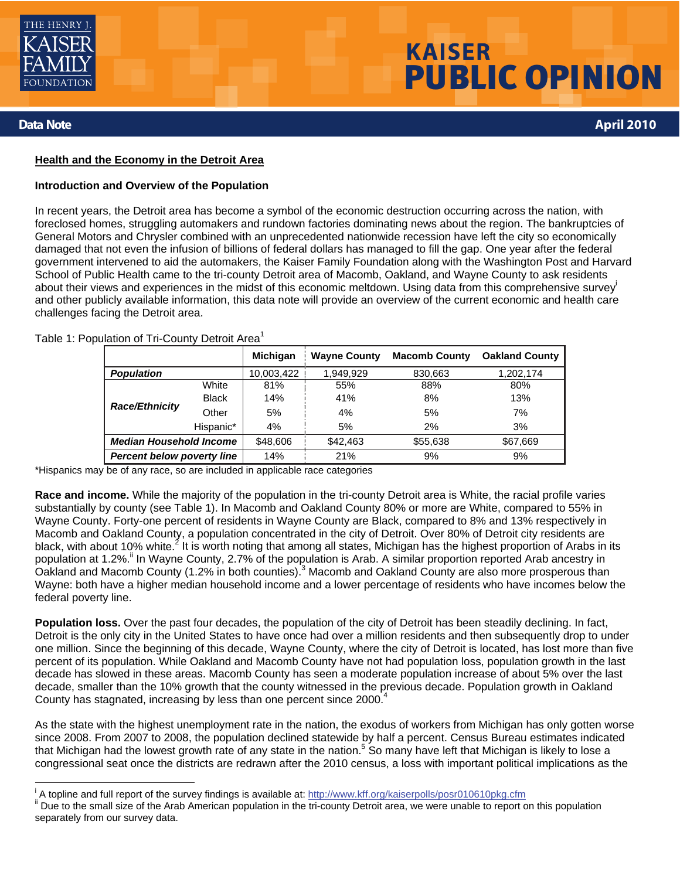

# **KAISER** PUBLIC OPINION

# **Data Note April 2010**

#### **Health and the Economy in the Detroit Area**

#### **Introduction and Overview of the Population**

In recent years, the Detroit area has become a symbol of the economic destruction occurring across the nation, with foreclosed homes, struggling automakers and rundown factories dominating news about the region. The bankruptcies of General Motors and Chrysler combined with an unprecedented nationwide recession have left the city so economically damaged that not even the infusion of billions of federal dollars has managed to fill the gap. One year after the federal government intervened to aid the automakers, the Kaiser Family Foundation along with the Washington Post and Harvard School of Public Health came to the tri-county Detroit area of Macomb, Oakland, and Wayne County to ask residents about their views and experiences in the midst of this economic meltdown. Using data from this comprehensive survey and other publicly available information, this data note will provide an overview of the current economic and health care challenges facing the Detroit area.

Table 1: Population of Tri-County Detroit Area<sup>1</sup>

|                                   |              | <b>Michigan</b> | <b>Wayne County</b> | <b>Macomb County</b> | <b>Oakland County</b> |
|-----------------------------------|--------------|-----------------|---------------------|----------------------|-----------------------|
| <b>Population</b>                 |              | 10,003,422      | 1,949,929           | 830,663              | 1,202,174             |
| <b>Race/Ethnicity</b>             | White        | 81%             | 55%                 | 88%                  | 80%                   |
|                                   | <b>Black</b> | 14%             | 41%                 | 8%                   | 13%                   |
|                                   | Other        | 5%              | 4%                  | 5%                   | 7%                    |
|                                   | Hispanic*    | 4%              | 5%                  | 2%                   | 3%                    |
| <b>Median Household Income</b>    |              | \$48,606        | \$42,463            | \$55,638             | \$67,669              |
| <b>Percent below poverty line</b> |              | 14%             | 21%                 | 9%                   | 9%                    |

\*Hispanics may be of any race, so are included in applicable race categories

**Race and income.** While the majority of the population in the tri-county Detroit area is White, the racial profile varies substantially by county (see Table 1). In Macomb and Oakland County 80% or more are White, compared to 55% in Wayne County. Forty-one percent of residents in Wayne County are Black, compared to 8% and 13% respectively in Macomb and Oakland County, a population concentrated in the city of Detroit. Over 80% of Detroit city residents are black, with about 10% white.<sup>2</sup> It is worth noting that among all states, Michigan has the highest proportion of Arabs in its population at 1.2%.<sup>ii</sup> In Wayne County, 2.7% of the population is Arab. A similar proportion reported Arab ancestry in Oakland and Macomb County (1.2% in both counties).<sup>3</sup> Macomb and Oakland County are also more prosperous than Wayne: both have a higher median household income and a lower percentage of residents who have incomes below the federal poverty line.

Population loss. Over the past four decades, the population of the city of Detroit has been steadily declining. In fact, Detroit is the only city in the United States to have once had over a million residents and then subsequently drop to under one million. Since the beginning of this decade, Wayne County, where the city of Detroit is located, has lost more than five percent of its population. While Oakland and Macomb County have not had population loss, population growth in the last decade has slowed in these areas. Macomb County has seen a moderate population increase of about 5% over the last decade, smaller than the 10% growth that the county witnessed in the previous decade. Population growth in Oakland County has stagnated, increasing by less than one percent since 2000.<sup>4</sup>

As the state with the highest unemployment rate in the nation, the exodus of workers from Michigan has only gotten worse since 2008. From 2007 to 2008, the population declined statewide by half a percent. Census Bureau estimates indicated that Michigan had the lowest growth rate of any state in the nation.<sup>5</sup> So many have left that Michigan is likely to lose a congressional seat once the districts are redrawn after the 2010 census, a loss with important political implications as the

<sup>&</sup>lt;sup>i</sup> A topline and full report of the survey findings is available at: http://www.kff.org/kaiserpolls/posr010610pkg.cfm

<sup>&</sup>quot; Due to the small size of the Arab American population in the tri-county Detroit area, we were unable to report on this population separately from our survey data.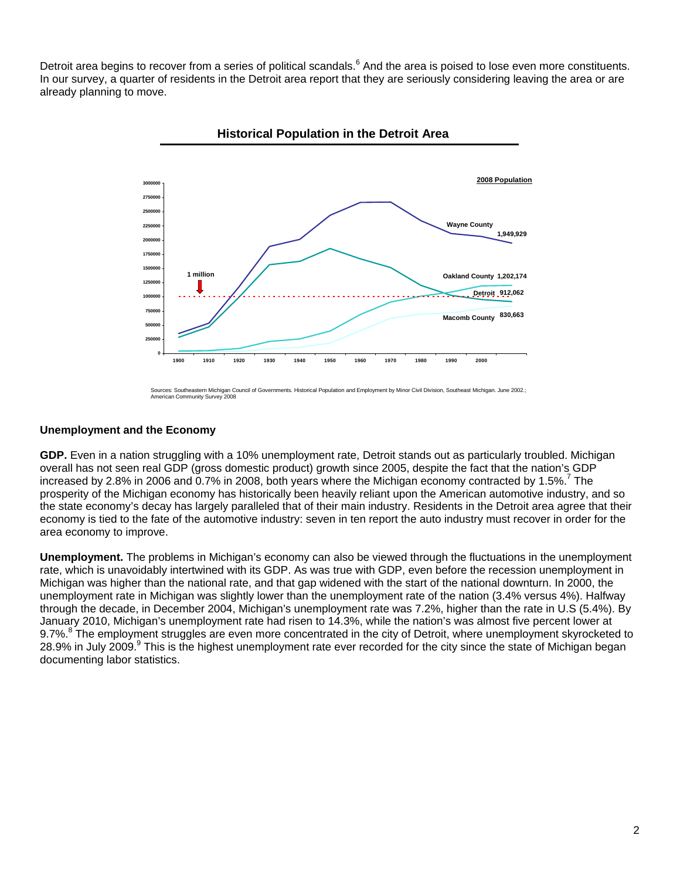Detroit area begins to recover from a series of political scandals.<sup>6</sup> And the area is poised to lose even more constituents. In our survey, a quarter of residents in the Detroit area report that they are seriously considering leaving the area or are already planning to move.



**Historical Population in the Detroit Area**

Sources: Southeastern Michigan Council of Governments. Historical Population and Employment by Minor Civil Division, Southeast Michigan. June 2002.; American Community Survey 2008

#### **Unemployment and the Economy**

**GDP.** Even in a nation struggling with a 10% unemployment rate, Detroit stands out as particularly troubled. Michigan overall has not seen real GDP (gross domestic product) growth since 2005, despite the fact that the nation's GDP increased by 2.8% in 2006 and 0.7% in 2008, both years where the Michigan economy contracted by 1.5%.<sup>7</sup> The prosperity of the Michigan economy has historically been heavily reliant upon the American automotive industry, and so the state economy's decay has largely paralleled that of their main industry. Residents in the Detroit area agree that their economy is tied to the fate of the automotive industry: seven in ten report the auto industry must recover in order for the area economy to improve.

**Unemployment.** The problems in Michigan's economy can also be viewed through the fluctuations in the unemployment rate, which is unavoidably intertwined with its GDP. As was true with GDP, even before the recession unemployment in Michigan was higher than the national rate, and that gap widened with the start of the national downturn. In 2000, the unemployment rate in Michigan was slightly lower than the unemployment rate of the nation (3.4% versus 4%). Halfway through the decade, in December 2004, Michigan's unemployment rate was 7.2%, higher than the rate in U.S (5.4%). By January 2010, Michigan's unemployment rate had risen to 14.3%, while the nation's was almost five percent lower at 9.7%.<sup>8</sup> The employment struggles are even more concentrated in the city of Detroit, where unemployment skyrocketed to 28.9% in July 2009.<sup>9</sup> This is the highest unemployment rate ever recorded for the city since the state of Michigan began documenting labor statistics.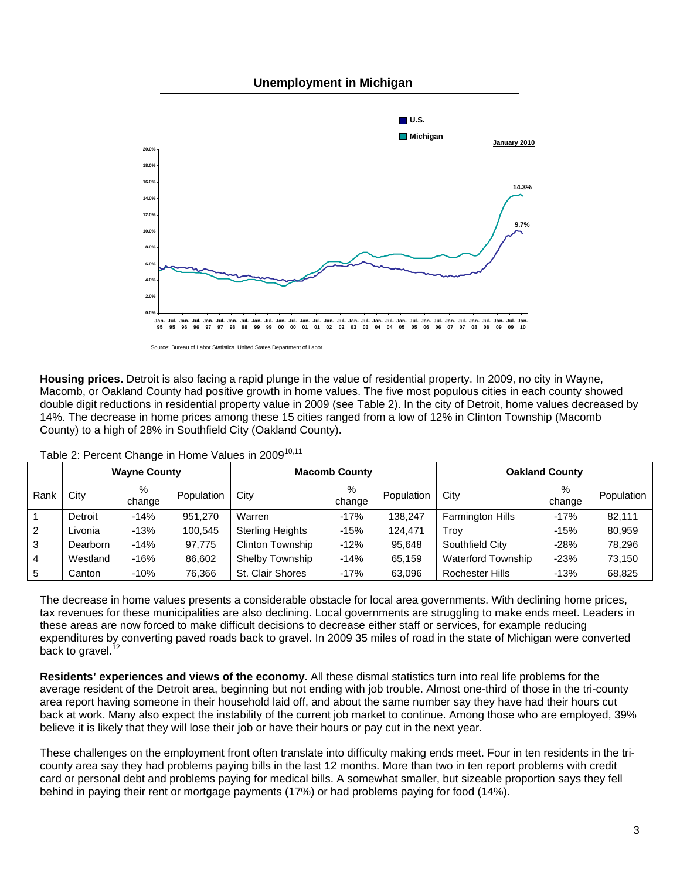#### **Unemployment in Michigan**



Source: Bureau of Labor Statistics. United States Department of Labor.

**Housing prices.** Detroit is also facing a rapid plunge in the value of residential property. In 2009, no city in Wayne, Macomb, or Oakland County had positive growth in home values. The five most populous cities in each county showed double digit reductions in residential property value in 2009 (see Table 2). In the city of Detroit, home values decreased by 14%. The decrease in home prices among these 15 cities ranged from a low of 12% in Clinton Township (Macomb County) to a high of 28% in Southfield City (Oakland County).

|      | <b>Wayne County</b> |             | <b>Macomb County</b> |                         |             | <b>Oakland County</b> |                           |             |            |
|------|---------------------|-------------|----------------------|-------------------------|-------------|-----------------------|---------------------------|-------------|------------|
| Rank | City                | %<br>change | Population           | City                    | %<br>change | Population            | City                      | %<br>change | Population |
|      | Detroit             | $-14%$      | 951.270              | Warren                  | $-17%$      | 138.247               | <b>Farmington Hills</b>   | $-17%$      | 82.111     |
| 2    | Livonia             | $-13%$      | 100.545              | <b>Sterling Heights</b> | $-15%$      | 124.471               | Trov                      | $-15%$      | 80,959     |
| 3    | Dearborn            | $-14%$      | 97.775               | <b>Clinton Township</b> | $-12%$      | 95,648                | Southfield City           | $-28%$      | 78.296     |
| 4    | Westland            | $-16%$      | 86,602               | Shelby Township         | $-14%$      | 65,159                | <b>Waterford Township</b> | $-23%$      | 73,150     |
| 5    | Canton              | $-10%$      | 76,366               | St. Clair Shores        | $-17%$      | 63,096                | <b>Rochester Hills</b>    | $-13%$      | 68,825     |

Table 2: Percent Change in Home Values in 2009<sup>10,11</sup>

The decrease in home values presents a considerable obstacle for local area governments. With declining home prices, tax revenues for these municipalities are also declining. Local governments are struggling to make ends meet. Leaders in these areas are now forced to make difficult decisions to decrease either staff or services, for example reducing expenditures by converting paved roads back to gravel. In 2009 35 miles of road in the state of Michigan were converted back to gravel.<sup>1</sup>

**Residents' experiences and views of the economy.** All these dismal statistics turn into real life problems for the average resident of the Detroit area, beginning but not ending with job trouble. Almost one-third of those in the tri-county area report having someone in their household laid off, and about the same number say they have had their hours cut back at work. Many also expect the instability of the current job market to continue. Among those who are employed, 39% believe it is likely that they will lose their job or have their hours or pay cut in the next year.

These challenges on the employment front often translate into difficulty making ends meet. Four in ten residents in the tricounty area say they had problems paying bills in the last 12 months. More than two in ten report problems with credit card or personal debt and problems paying for medical bills. A somewhat smaller, but sizeable proportion says they fell behind in paying their rent or mortgage payments (17%) or had problems paying for food (14%).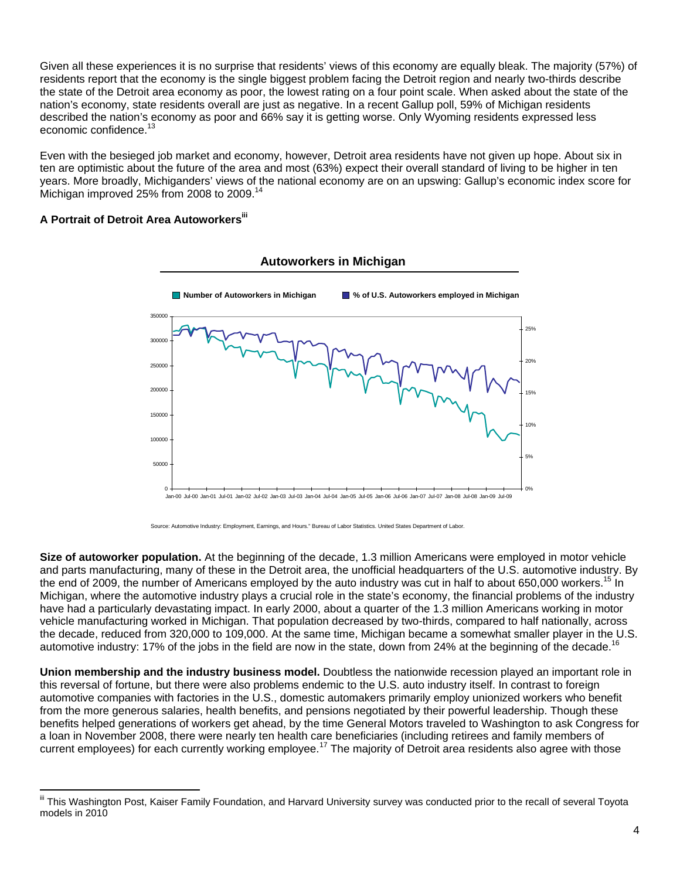Given all these experiences it is no surprise that residents' views of this economy are equally bleak. The majority (57%) of residents report that the economy is the single biggest problem facing the Detroit region and nearly two-thirds describe the state of the Detroit area economy as poor, the lowest rating on a four point scale. When asked about the state of the nation's economy, state residents overall are just as negative. In a recent Gallup poll, 59% of Michigan residents described the nation's economy as poor and 66% say it is getting worse. Only Wyoming residents expressed less economic confidence.

Even with the besieged job market and economy, however, Detroit area residents have not given up hope. About six in ten are optimistic about the future of the area and most (63%) expect their overall standard of living to be higher in ten years. More broadly, Michiganders' views of the national economy are on an upswing: Gallup's economic index score for Michigan improved 25% from 2008 to 2009.14

### **A Portrait of Detroit Area Autoworkers**iii

 $\overline{a}$ 





**Size of autoworker population.** At the beginning of the decade, 1.3 million Americans were employed in motor vehicle and parts manufacturing, many of these in the Detroit area, the unofficial headquarters of the U.S. automotive industry. By the end of 2009, the number of Americans employed by the auto industry was cut in half to about 650,000 workers.<sup>15</sup> In Michigan, where the automotive industry plays a crucial role in the state's economy, the financial problems of the industry have had a particularly devastating impact. In early 2000, about a quarter of the 1.3 million Americans working in motor vehicle manufacturing worked in Michigan. That population decreased by two-thirds, compared to half nationally, across the decade, reduced from 320,000 to 109,000. At the same time, Michigan became a somewhat smaller player in the U.S. automotive industry: 17% of the jobs in the field are now in the state, down from 24% at the beginning of the decade.<sup>16</sup>

**Union membership and the industry business model.** Doubtless the nationwide recession played an important role in this reversal of fortune, but there were also problems endemic to the U.S. auto industry itself. In contrast to foreign automotive companies with factories in the U.S., domestic automakers primarily employ unionized workers who benefit from the more generous salaries, health benefits, and pensions negotiated by their powerful leadership. Though these benefits helped generations of workers get ahead, by the time General Motors traveled to Washington to ask Congress for a loan in November 2008, there were nearly ten health care beneficiaries (including retirees and family members of current employees) for each currently working employee.<sup>17</sup> The majority of Detroit area residents also agree with those

This Washington Post, Kaiser Family Foundation, and Harvard University survey was conducted prior to the recall of several Toyota models in 2010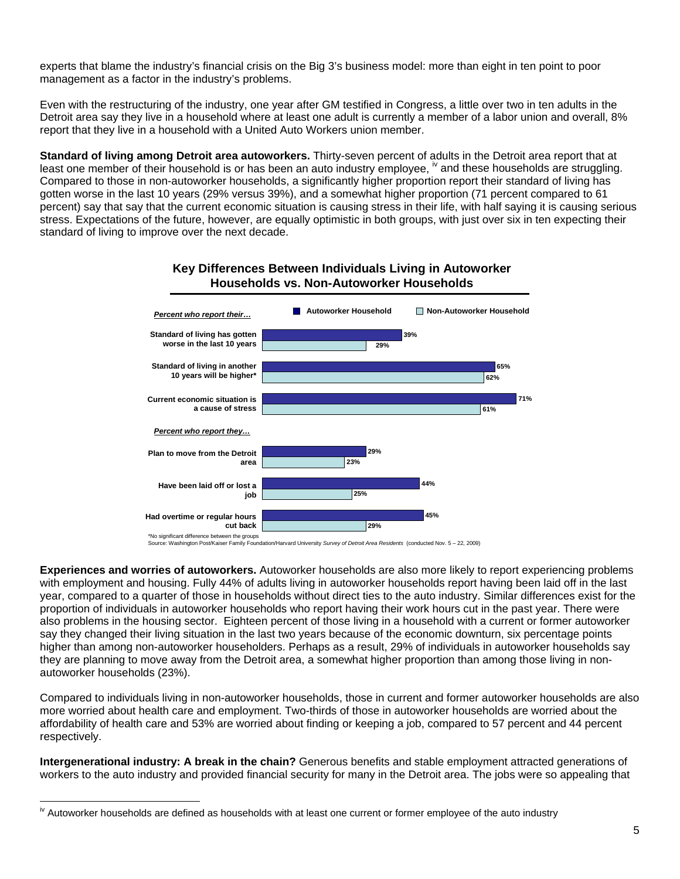experts that blame the industry's financial crisis on the Big 3's business model: more than eight in ten point to poor management as a factor in the industry's problems.

Even with the restructuring of the industry, one year after GM testified in Congress, a little over two in ten adults in the Detroit area say they live in a household where at least one adult is currently a member of a labor union and overall, 8% report that they live in a household with a United Auto Workers union member.

**Standard of living among Detroit area autoworkers.** Thirty-seven percent of adults in the Detroit area report that at least one member of their household is or has been an auto industry employee,  $\mu$  and these households are struggling. Compared to those in non-autoworker households, a significantly higher proportion report their standard of living has gotten worse in the last 10 years (29% versus 39%), and a somewhat higher proportion (71 percent compared to 61 percent) say that say that the current economic situation is causing stress in their life, with half saying it is causing serious stress. Expectations of the future, however, are equally optimistic in both groups, with just over six in ten expecting their standard of living to improve over the next decade.

# **Key Differences Between Individuals Living in Autoworker Households vs. Non-Autoworker Households**



\*No significant difference between the groups Source: Washington Post/Kaiser Family Foundation/Harvard University *Survey of Detroit Area Residents* (conducted Nov. 5 – 22, 2009)

**Experiences and worries of autoworkers.** Autoworker households are also more likely to report experiencing problems with employment and housing. Fully 44% of adults living in autoworker households report having been laid off in the last year, compared to a quarter of those in households without direct ties to the auto industry. Similar differences exist for the proportion of individuals in autoworker households who report having their work hours cut in the past year. There were also problems in the housing sector. Eighteen percent of those living in a household with a current or former autoworker say they changed their living situation in the last two years because of the economic downturn, six percentage points higher than among non-autoworker householders. Perhaps as a result, 29% of individuals in autoworker households say they are planning to move away from the Detroit area, a somewhat higher proportion than among those living in nonautoworker households (23%).

Compared to individuals living in non-autoworker households, those in current and former autoworker households are also more worried about health care and employment. Two-thirds of those in autoworker households are worried about the affordability of health care and 53% are worried about finding or keeping a job, compared to 57 percent and 44 percent respectively.

**Intergenerational industry: A break in the chain?** Generous benefits and stable employment attracted generations of workers to the auto industry and provided financial security for many in the Detroit area. The jobs were so appealing that

 $\overline{a}$ <sup>iv</sup> Autoworker households are defined as households with at least one current or former employee of the auto industry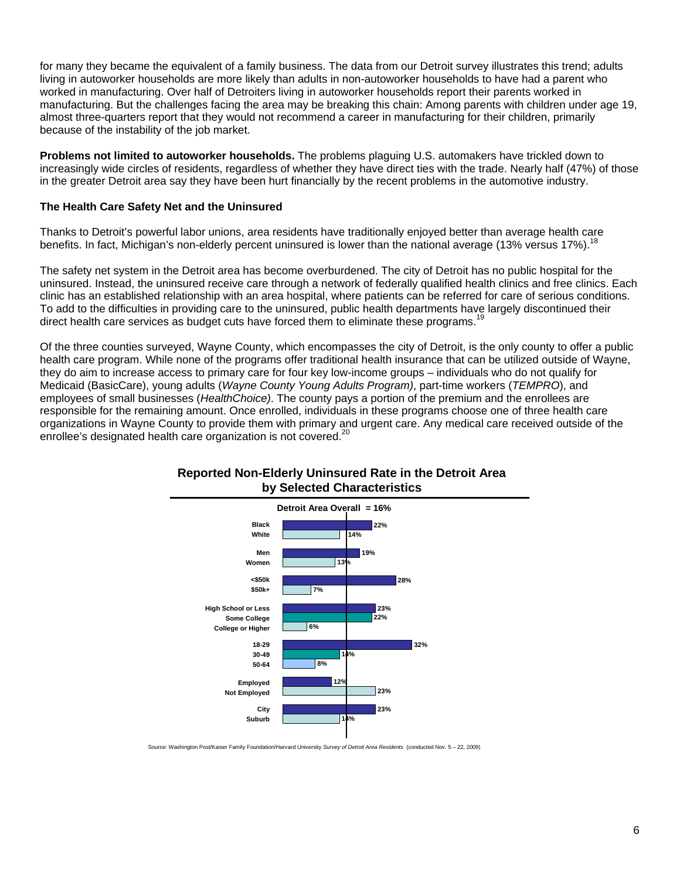for many they became the equivalent of a family business. The data from our Detroit survey illustrates this trend; adults living in autoworker households are more likely than adults in non-autoworker households to have had a parent who worked in manufacturing. Over half of Detroiters living in autoworker households report their parents worked in manufacturing. But the challenges facing the area may be breaking this chain: Among parents with children under age 19, almost three-quarters report that they would not recommend a career in manufacturing for their children, primarily because of the instability of the job market.

**Problems not limited to autoworker households.** The problems plaguing U.S. automakers have trickled down to increasingly wide circles of residents, regardless of whether they have direct ties with the trade. Nearly half (47%) of those in the greater Detroit area say they have been hurt financially by the recent problems in the automotive industry.

#### **The Health Care Safety Net and the Uninsured**

Thanks to Detroit's powerful labor unions, area residents have traditionally enjoyed better than average health care benefits. In fact, Michigan's non-elderly percent uninsured is lower than the national average (13% versus 17%).<sup>1</sup>

The safety net system in the Detroit area has become overburdened. The city of Detroit has no public hospital for the uninsured. Instead, the uninsured receive care through a network of federally qualified health clinics and free clinics. Each clinic has an established relationship with an area hospital, where patients can be referred for care of serious conditions. To add to the difficulties in providing care to the uninsured, public health departments have largely discontinued their direct health care services as budget cuts have forced them to eliminate these programs.<sup>1</sup>

Of the three counties surveyed, Wayne County, which encompasses the city of Detroit, is the only county to offer a public health care program. While none of the programs offer traditional health insurance that can be utilized outside of Wayne, they do aim to increase access to primary care for four key low-income groups – individuals who do not qualify for Medicaid (BasicCare), young adults (*Wayne County Young Adults Program)*, part-time workers (*TEMPRO*), and employees of small businesses (*HealthChoice)*. The county pays a portion of the premium and the enrollees are responsible for the remaining amount. Once enrolled, individuals in these programs choose one of three health care organizations in Wayne County to provide them with primary and urgent care. Any medical care received outside of the enrollee's designated health care organization is not covered.<sup>2</sup>



# **Reported Non-Elderly Uninsured Rate in the Detroit Area by Selected Characteristics**

Source: Washington Post/Kaiser Family Foundation/Harvard University *Survey of Detroit Area Residents* (conducted Nov. 5 – 22, 2009)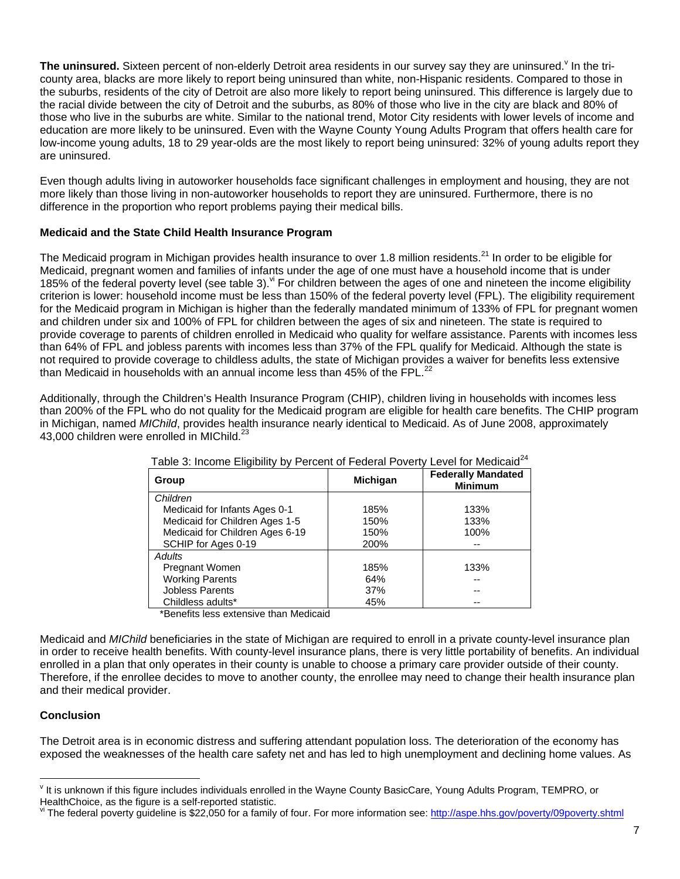The uninsured. Sixteen percent of non-elderly Detroit area residents in our survey say they are uninsured.<sup>v</sup> In the tricounty area, blacks are more likely to report being uninsured than white, non-Hispanic residents. Compared to those in the suburbs, residents of the city of Detroit are also more likely to report being uninsured. This difference is largely due to the racial divide between the city of Detroit and the suburbs, as 80% of those who live in the city are black and 80% of those who live in the suburbs are white. Similar to the national trend, Motor City residents with lower levels of income and education are more likely to be uninsured. Even with the Wayne County Young Adults Program that offers health care for low-income young adults, 18 to 29 year-olds are the most likely to report being uninsured: 32% of young adults report they are uninsured.

Even though adults living in autoworker households face significant challenges in employment and housing, they are not more likely than those living in non-autoworker households to report they are uninsured. Furthermore, there is no difference in the proportion who report problems paying their medical bills.

# **Medicaid and the State Child Health Insurance Program**

The Medicaid program in Michigan provides health insurance to over 1.8 million residents.<sup>21</sup> In order to be eligible for Medicaid, pregnant women and families of infants under the age of one must have a household income that is under 185% of the federal poverty level (see table 3).  $\frac{v}{x}$  For children between the ages of one and nineteen the income eligibility criterion is lower: household income must be less than 150% of the federal poverty level (FPL). The eligibility requirement for the Medicaid program in Michigan is higher than the federally mandated minimum of 133% of FPL for pregnant women and children under six and 100% of FPL for children between the ages of six and nineteen. The state is required to provide coverage to parents of children enrolled in Medicaid who quality for welfare assistance. Parents with incomes less than 64% of FPL and jobless parents with incomes less than 37% of the FPL qualify for Medicaid. Although the state is not required to provide coverage to childless adults, the state of Michigan provides a waiver for benefits less extensive than Medicaid in households with an annual income less than  $45\%$  of the FPL.<sup>22</sup>

Additionally, through the Children's Health Insurance Program (CHIP), children living in households with incomes less than 200% of the FPL who do not quality for the Medicaid program are eligible for health care benefits. The CHIP program in Michigan, named *MIChild*, provides health insurance nearly identical to Medicaid. As of June 2008, approximately 43,000 children were enrolled in MIChild.<sup>23</sup>

| Table 3: Income Eligibility by Percent of Federal Poverty Level for Medicald |                 |                                             |
|------------------------------------------------------------------------------|-----------------|---------------------------------------------|
| Group                                                                        | <b>Michigan</b> | <b>Federally Mandated</b><br><b>Minimum</b> |
| Children                                                                     |                 |                                             |
| Medicaid for Infants Ages 0-1                                                | 185%            | 133%                                        |
| Medicaid for Children Ages 1-5                                               | 150%            | 133%                                        |
| Medicaid for Children Ages 6-19                                              | 150%            | 100%                                        |
| SCHIP for Ages 0-19                                                          | 200%            |                                             |
| <b>Adults</b>                                                                |                 |                                             |
| Pregnant Women                                                               | 185%            | 133%                                        |
| <b>Working Parents</b>                                                       | 64%             |                                             |
| Jobless Parents                                                              | 37%             |                                             |
| Childless adults*                                                            | 45%             |                                             |

| Table 3: Income Eligibility by Percent of Federal Poverty Level for Medicaid <sup>24</sup> |  |
|--------------------------------------------------------------------------------------------|--|
|                                                                                            |  |

\*Benefits less extensive than Medicaid

Medicaid and *MIChild* beneficiaries in the state of Michigan are required to enroll in a private county-level insurance plan in order to receive health benefits. With county-level insurance plans, there is very little portability of benefits. An individual enrolled in a plan that only operates in their county is unable to choose a primary care provider outside of their county. Therefore, if the enrollee decides to move to another county, the enrollee may need to change their health insurance plan and their medical provider.

### **Conclusion**

 $\overline{a}$ 

The Detroit area is in economic distress and suffering attendant population loss. The deterioration of the economy has exposed the weaknesses of the health care safety net and has led to high unemployment and declining home values. As

<sup>&</sup>lt;sup>v</sup> It is unknown if this figure includes individuals enrolled in the Wayne County BasicCare, Young Adults Program, TEMPRO, or

HealthChoice, as the figure is a self-reported statistic.<br>Vi The federal poverty guideline is \$22,050 for a family of four. For more information see: http://aspe.hhs.gov/poverty/09poverty.shtml